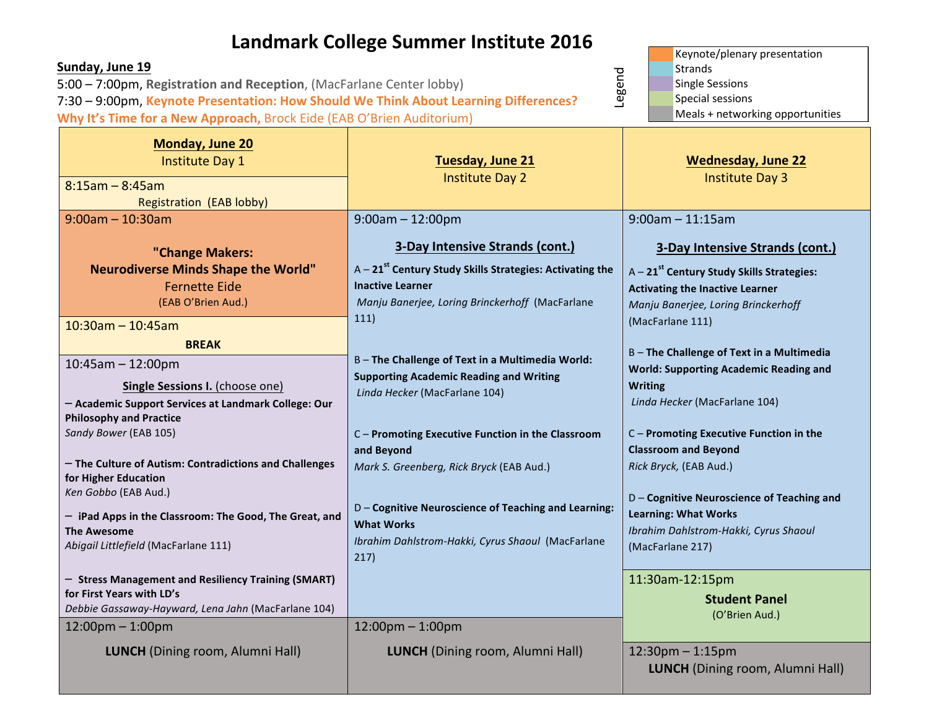## **Landmark College Summer Institute 2016**

| Sunday, June 19<br>5:00 - 7:00pm, Registration and Reception, (MacFarlane Center lobby)                                                                                                                                                                                                                                                                                                                                      | Keynote/plenary presentation<br><b>Strands</b><br><b>Single Sessions</b>                                                                                                                                                                                                                                                                                                                     |                                                                                                                                                                                                                                                                                                                                                                                           |
|------------------------------------------------------------------------------------------------------------------------------------------------------------------------------------------------------------------------------------------------------------------------------------------------------------------------------------------------------------------------------------------------------------------------------|----------------------------------------------------------------------------------------------------------------------------------------------------------------------------------------------------------------------------------------------------------------------------------------------------------------------------------------------------------------------------------------------|-------------------------------------------------------------------------------------------------------------------------------------------------------------------------------------------------------------------------------------------------------------------------------------------------------------------------------------------------------------------------------------------|
| Legend<br>7:30 - 9:00pm, Keynote Presentation: How Should We Think About Learning Differences?                                                                                                                                                                                                                                                                                                                               |                                                                                                                                                                                                                                                                                                                                                                                              | Special sessions                                                                                                                                                                                                                                                                                                                                                                          |
| Why It's Time for a New Approach, Brock Eide (EAB O'Brien Auditorium)                                                                                                                                                                                                                                                                                                                                                        |                                                                                                                                                                                                                                                                                                                                                                                              | Meals + networking opportunities                                                                                                                                                                                                                                                                                                                                                          |
| <b>Monday, June 20</b><br><b>Institute Day 1</b><br>$8:15$ am - 8:45am                                                                                                                                                                                                                                                                                                                                                       | <b>Tuesday, June 21</b><br><b>Institute Day 2</b>                                                                                                                                                                                                                                                                                                                                            | <b>Wednesday, June 22</b><br><b>Institute Day 3</b>                                                                                                                                                                                                                                                                                                                                       |
| Registration (EAB lobby)                                                                                                                                                                                                                                                                                                                                                                                                     |                                                                                                                                                                                                                                                                                                                                                                                              |                                                                                                                                                                                                                                                                                                                                                                                           |
| $9:00am - 10:30am$                                                                                                                                                                                                                                                                                                                                                                                                           | $9:00am - 12:00pm$                                                                                                                                                                                                                                                                                                                                                                           | $9:00$ am - 11:15am                                                                                                                                                                                                                                                                                                                                                                       |
| "Change Makers:<br><b>Neurodiverse Minds Shape the World"</b><br><b>Fernette Eide</b>                                                                                                                                                                                                                                                                                                                                        | <b>3-Day Intensive Strands (cont.)</b><br>$A - 21st$ Century Study Skills Strategies: Activating the<br><b>Inactive Learner</b>                                                                                                                                                                                                                                                              | 3-Day Intensive Strands (cont.)<br>A - 21 <sup>st</sup> Century Study Skills Strategies:<br><b>Activating the Inactive Learner</b>                                                                                                                                                                                                                                                        |
| (EAB O'Brien Aud.)<br>$10:30$ am - 10:45am                                                                                                                                                                                                                                                                                                                                                                                   | Manju Banerjee, Loring Brinckerhoff (MacFarlane<br>111)                                                                                                                                                                                                                                                                                                                                      | Manju Banerjee, Loring Brinckerhoff<br>(MacFarlane 111)                                                                                                                                                                                                                                                                                                                                   |
| <b>BREAK</b><br>$10:45$ am - 12:00pm<br>Single Sessions I. (choose one)<br>- Academic Support Services at Landmark College: Our<br><b>Philosophy and Practice</b><br>Sandy Bower (EAB 105)<br>- The Culture of Autism: Contradictions and Challenges<br>for Higher Education<br>Ken Gobbo (EAB Aud.)<br>- iPad Apps in the Classroom: The Good, The Great, and<br><b>The Awesome</b><br>Abigail Littlefield (MacFarlane 111) | B - The Challenge of Text in a Multimedia World:<br><b>Supporting Academic Reading and Writing</b><br>Linda Hecker (MacFarlane 104)<br>C - Promoting Executive Function in the Classroom<br>and Beyond<br>Mark S. Greenberg, Rick Bryck (EAB Aud.)<br>D - Cognitive Neuroscience of Teaching and Learning:<br><b>What Works</b><br>Ibrahim Dahlstrom-Hakki, Cyrus Shaoul (MacFarlane<br>217) | B-The Challenge of Text in a Multimedia<br><b>World: Supporting Academic Reading and</b><br><b>Writing</b><br>Linda Hecker (MacFarlane 104)<br>C - Promoting Executive Function in the<br><b>Classroom and Beyond</b><br>Rick Bryck, (EAB Aud.)<br>D - Cognitive Neuroscience of Teaching and<br><b>Learning: What Works</b><br>Ibrahim Dahlstrom-Hakki, Cyrus Shaoul<br>(MacFarlane 217) |
| - Stress Management and Resiliency Training (SMART)<br>for First Years with LD's<br>Debbie Gassaway-Hayward, Lena Jahn (MacFarlane 104)<br>$12:00$ pm $-1:00$ pm                                                                                                                                                                                                                                                             | $12:00$ pm $-1:00$ pm                                                                                                                                                                                                                                                                                                                                                                        | 11:30am-12:15pm<br><b>Student Panel</b><br>(O'Brien Aud.)                                                                                                                                                                                                                                                                                                                                 |
| <b>LUNCH</b> (Dining room, Alumni Hall)                                                                                                                                                                                                                                                                                                                                                                                      | <b>LUNCH</b> (Dining room, Alumni Hall)                                                                                                                                                                                                                                                                                                                                                      | $12:30$ pm $-1:15$ pm<br><b>LUNCH</b> (Dining room, Alumni Hall)                                                                                                                                                                                                                                                                                                                          |